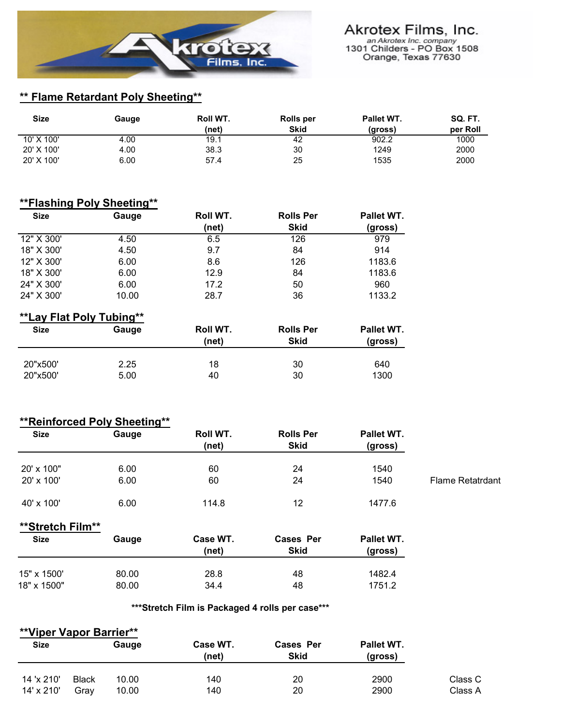

# **\*\* Flame Retardant Poly Sheeting\*\***

| <b>Size</b> | Gauge | Roll WT. | Rolls per   | Pallet WT. | SQ. FT.  |
|-------------|-------|----------|-------------|------------|----------|
|             |       | (net)    | <b>Skid</b> | (gross)    | per Roll |
| 10' X 100'  | 4.00  | 19.1     | 42          | 902.2      | 1000     |
| 20' X 100'  | 4.00  | 38.3     | 30          | 1249       | 2000     |
| 20' X 100'  | 6.00  | 57.4     | 25          | 1535       | 2000     |

### **\*\*Flashing Poly Sheeting\*\***

| <b>Size</b> | Gauge | Roll WT. | <b>Rolls Per</b> | Pallet WT. |
|-------------|-------|----------|------------------|------------|
|             |       | (net)    | <b>Skid</b>      | (gross)    |
| 12" X 300'  | 4.50  | 6.5      | 126              | 979        |
| 18" X 300'  | 4.50  | 9.7      | 84               | 914        |
| 12" X 300'  | 6.00  | 8.6      | 126              | 1183.6     |
| 18" X 300'  | 6.00  | 12.9     | 84               | 1183.6     |
| 24" X 300'  | 6.00  | 17.2     | 50               | 960        |
| 24" X 300'  | 10.00 | 28.7     | 36               | 1133.2     |

# **\*\*Lay Flat Poly Tubing\*\***

| <b>Size</b> | Gauge | Roll WT.<br>(net) | <b>Rolls Per</b><br><b>Skid</b> | Pallet WT.<br>(gross) |
|-------------|-------|-------------------|---------------------------------|-----------------------|
| 20"x500"    | 2.25  | 18                | 30                              | 640                   |
| 20"x500"    | 5.00  | 40                | 30                              | 1300                  |

#### **\*\*Reinforced Poly Sheeting\*\***

| <b>Size</b> | Gauge | Roll WT. | <b>Rolls Per</b> | Pallet WT. |                         |
|-------------|-------|----------|------------------|------------|-------------------------|
|             |       | (net)    | <b>Skid</b>      | (gross)    |                         |
| 20' x 100"  | 6.00  | 60       | 24               | 1540       |                         |
| 20' x 100'  | 6.00  | 60       | 24               | 1540       | <b>Flame Retatrdant</b> |
| 40' x 100'  | 6.00  | 114.8    | 12               | 1477.6     |                         |

### **\*\*Stretch Film\*\***

| Size        | Gauge | Case WT.<br>(net) | Cases Per<br><b>Skid</b> | Pallet WT.<br>(gross) |
|-------------|-------|-------------------|--------------------------|-----------------------|
| 15" x 1500' | 80.00 | 28.8              | 48                       | 1482.4                |
| 18" x 1500" | 80.00 | 34.4              | 48                       | 1751.2                |

#### **\*\*\*Stretch Film is Packaged 4 rolls per case\*\*\***

| **Viper Vapor Barrier** |              |       |                   |                                 |                       |         |
|-------------------------|--------------|-------|-------------------|---------------------------------|-----------------------|---------|
| <b>Size</b>             |              | Gauge | Case WT.<br>(net) | <b>Cases Per</b><br><b>Skid</b> | Pallet WT.<br>(gross) |         |
| 14 'x 210'              | <b>Black</b> | 10.00 | 140               | 20                              | 2900                  | Class C |
| 14' x 210'              | Grav         | 10.00 | 140               | 20                              | 2900                  | Class A |